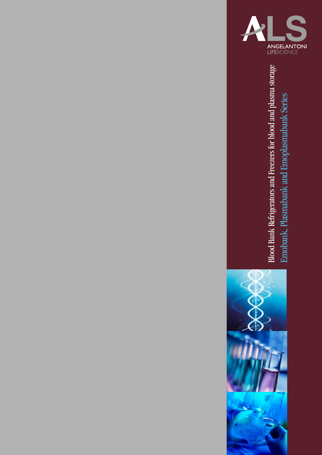

Blood Bank Refrigerators and Freezers for blood and plasma storage Blood Bank Refrigerators and Freezers for blood and plasma storag Emobank, Plasmabank and Emoplasmabank Series Emobank, Plasmabank and Emoplasmabank Series

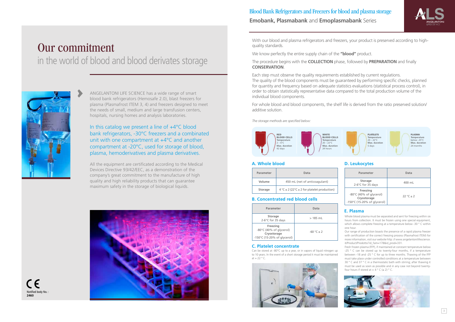ANGELANTONI LIFE SCIENCE has a wide range of smart blood bank refrigerators (Hemosafe 2.0), blast freezers for plasma (Plasmafrost ITEM 3, 4) and freezers designed to meet the needs of small, medium and large transfusion centers, hospitals, nursing homes and analysis laboratories.

In this catalog we present a line of +4°C blood bank refrigerators, -30°C freezers and a combinated unit with one compartment at +4°C and another compartment at -20°C, used for storage of blood, plasma, hemoderivatives and plasma derivatives.

With our blood and plasma refrigerators and freezers, your product is preserved according to highquality standards.

All the equipment are certificated according to the Medical Devices Directive 93/42/EEC, as a demonstration of the company's great commitment to the manufacture of high quality and high reliability products that can guarantee maximum safety in the storage of biological liquids.





 $\blacktriangleright$ 

# in the world of blood and blood derivates storage

### Blood Bank Refrigerators and Freezers for blood and plasma storage **Emobank, Plasmabank** and **Emoplasmabank** Series

Can be stored at -80°C up to a year, or in vapors of liquid nitrogen up to 10 years. In the event of a short storage period it must be maintained at  $+ 22$   $^{\circ}$  C.



Notified body No. :<br>2460



We know perfectly the entire supply chain of the **"blood"** product.

The procedure begins with the **COLLECTION** phase, followed by **PREPARATION** and finally **CONSERVATION**.

> Fresh frozen plasma (FFP), if maintained at constant temperature below -25  $\degree$  C can be stored up to twenty-four months, if a temperature between -18 and -25 ° C for up to three months. Thawing of the FFP must take place under controlled conditions at a temperature between 30 ° C and 37 ° C in a thermostatic bath with stirring; after thawing it must be used as soon as possible and in any case not beyond twentyfour hours if stored at  $+ 4^{\circ}$  C (+ 2) ° C.



Each step must observe the quality requirements established by current regulations. The quality of the blood components must be guaranteed by performing specific checks, planned for quantity and frequency based on adequate statistics evaluations (statistical process control), in order to obtain statistically representative data compared to the total production volume of the individual blood components.

For whole blood and blood components, the shelf life is derived from the ratio preserved solution/ additive solution.

*The storage methods are specified below:*

| Parameter      | Data                                                              |
|----------------|-------------------------------------------------------------------|
| Volume         | 450 mL (net of anticoagulant)                                     |
| <b>Storage</b> | $4^{\circ}C \pm 2$ (22 $^{\circ}C \pm 2$ for platelet production) |

#### **A. Whole blood**

| Parameter                                                                         | Data           |
|-----------------------------------------------------------------------------------|----------------|
| <b>Storage</b><br>2-6°C for 35 days                                               | $>185$ mL      |
| Freezing<br>-80°C (40% of glycerol)<br>Cryostorage<br>-150°C (15-20% of glycerol) | $-60 °C \pm 2$ |

#### **B. Concentrated red blood cells**

#### **C. Platelet concentrate**

#### **E. Plasma**

Whole blood plasma must be separated and sent for freezing within six hours from collection. It must be frozen using one special equipment, which allows complete freezing at a temperature below -30 ° C within one hour.

Our range of production boasts the presence of a rapid plasma freezer with certification of the correct freezing process (Plasmafrost ITEM) for more information, visit our website http: // www.angelantonilifescience. it/Product/Prodotto?id\_fam=178&id\_prod=331.

| Parameter                                                                         | Data        |
|-----------------------------------------------------------------------------------|-------------|
| <b>Storage</b><br>2-6°C for 35 days                                               | 400 mL      |
| Freezing<br>-80°C (40% of glycerol)<br>Cryostorage<br>-150°C (15-20% of glycerol) | $22 °C + 2$ |

#### **D. Leukocytes**

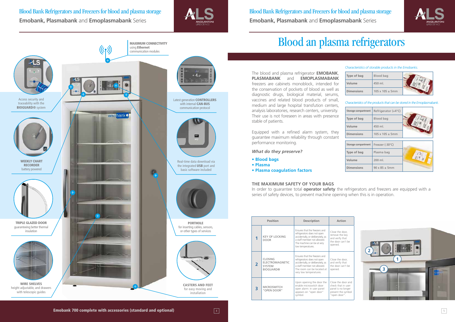Blood Bank Refrigerators and Freezers for blood and plasma storage **Emobank, Plasmabank** and **Emoplasmabank** Series







The blood and plasma refrigerator **EMOBANK**, **PLASMABANK** and **EMOPLASMABANK** freezers are cabinets monoblock, intended for the conservation of pockets of blood as well as diagnostic drugs, biological material, serums, vaccines and related blood products of small, medium and large hospital transfution centers, analysis laboratories, research centers, university. Their use is not foreseen in areas with presence stable of patients.

Equipped with a refined alarm system, they guarantee maximum reliability through constant performance monitoring.

*What do they preserve?*

- **Blood bags**
- **Plasma**
- **Plasma coagulation factors**

## Blood an plasma refrigerators

| Type of bag       | Blood bag                 |  |
|-------------------|---------------------------|--|
| Volume            | 450 ml.                   |  |
| <b>Dimensions</b> | $105 \times 105 \pm 5$ mm |  |

#### *Characteristics of storable products in the Emobanks.*

| Storage compartment | Refrigerator (+4°C)       |  |
|---------------------|---------------------------|--|
| Type of bag         | Blood bag                 |  |
| Volume              | 450 ml.                   |  |
| <b>Dimensions</b>   | $105 \times 105 \pm 5$ mm |  |
|                     |                           |  |
| Storage compartment | Freezer (-30°C)           |  |
|                     |                           |  |
| Type of bag         | Plasma bag                |  |
| Volume              | 200 ml.                   |  |

*Characteristics of the products that can be stored in the Emoplasmabank.*

#### **THE MAXIMUM SAFETY OF YOUR BAGS**

In order to guarantee total **operator safety** the refrigerators and freezers are equipped with a series of safety devices, to prevent machine opening when this is in operation.

|                | <b>Position</b>                                                        | <b>Description</b>                                                                                                                                                                       | <b>Action</b>                                                                           |
|----------------|------------------------------------------------------------------------|------------------------------------------------------------------------------------------------------------------------------------------------------------------------------------------|-----------------------------------------------------------------------------------------|
| 1              | <b>KEY OF LOCKING</b><br><b>DOOR</b>                                   | Ensures that the freezers and<br>refrigerators does not open<br>accidentally, or deliberately, as<br>a staff member not allowed.<br>The machine can be at very<br>low temperatures.      | Close the door<br>remove the ke<br>and verify that<br>the door can't<br>opened.         |
| $\overline{2}$ | CLOSING<br><b>ELECTROMAGNETIC</b><br><b>SYSTEM</b><br><b>BIOGUARD®</b> | Ensures that the freezers and<br>refrigerators does not open<br>accidentally, or deliberately, as<br>a staff member not allowed.<br>The room can be located at<br>very low temperatures. | Close the door<br>and verify that<br>the door can't<br>opened.                          |
| 3              | <b>MICROSWITCH</b><br>"OPEN DOOR"                                      | Upon opening the door the<br>enable microswitch door<br>open alarm: in user panel<br>appears on "open door"<br>symbol.                                                                   | Close the door<br>check that in u<br>panel is no lor<br>present the syr<br>"open door". |



Blood Bank Refrigerators and Freezers for blood and plasma storage **Emobank, Plasmabank** and **Emoplasmabank** Series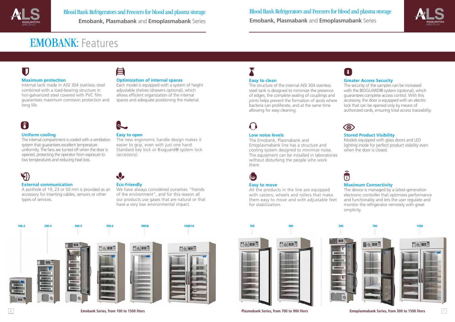#### $\overline{\mathbf{U}}$ **Maximum protection**

Internal tank made in AISI 304 stainless steel combined with a load-bearing structure in hot-galvanized steel covered with PVC film guarantees maximum corrosion protection and long life.

### 自

#### **Uniform cooling**

The internal compartment is cooled with a ventilation system that guarantees excellent temperature uniformity. The fans are turned off when the door is opened, protecting the operator from exposure to low temperatures and reducing heat loss.

### V

#### **External communication**

A porthole of 19, 23 or 50 mm is provided as an accessory for inserting cables, sensors or other types of services.

## EMOBANK: Features

#### **Optimization of internal spaces**

Each model is equipped with a system of height adjustable shelves (drawers optional), which allows efficient organization of the internal spaces and adequate positioning the material.

### $\left| \begin{array}{c} \mathbf{f}^{\text{c}} \\ \mathbf{f} \end{array} \right|$

#### **Easy to open**

The new ergonomic handle design makes it easier to grip, even with just one hand. Standard key lock or Bioguard® system lock (accessory).

#### **Eco-Friendly**

We have always considered ourselves "friends of the environment", and for this reason all our products use gases that are natural or that have a very low environmental impact.

#### **Easy to clean**

The structure of the internal AISI 304 stainless steel tank is designed to minimize the presence of edges; the complete sealing of couplings and joints helps prevent the formation of spots where bacteria can proliferate, and at the same time allowing for easy cleaning.

## $\{\ )$

6 7 **Emoplasmabank Series, from 300 to 1500 liters**

#### **Low noise levels**

The Emobank, Plasmabank and Emoplasmabank line has a structure and cooling system designed to minimize noise. The equipment can be installed in laboratories without disturbing the people who work there.

### $\bigodot$

#### **Easy to move**

All the products in the line are equipped with casters, wheels and rollers that make them easy to move and with adjustable feet for stabilization.

#### **Greater Access Security**

The security of the samples can be increased with the BIOGUARD® system (optional), which guarantees complete access control. With this accessory, the door is equipped with an electric lock that can be opened only by means of authorized cards, ensuring total access traceability.



#### **Stored Product Visibility**

Models equipped with glass doors and LED lighting inside for perfect product visibility even when the door is closed.



#### **Maximum Connectivity**

The device is managed by a latest-generation electronic controller that optimizes performance and functionality and lets the user regulate and monitor the refrigerator remotely with great simplicity.



Blood Bank Refrigerators and Freezers for blood and plasma storage **Emobank, Plasmabank** and **Emoplasmabank** Series



**Emobank Series, from 100 to 1500 liters Plasmabank Series, from 700 to 900 liters**



### $\mathbf{R}$



Blood Bank Refrigerators and Freezers for blood and plasma storage **Emobank, Plasmabank** and **Emoplasmabank** Series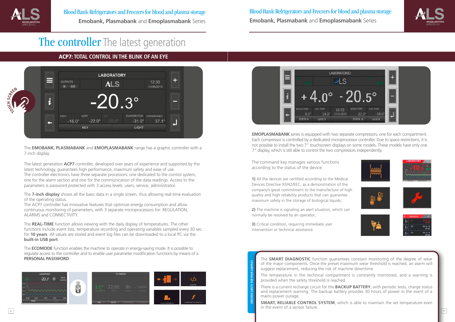The **EMOBANK, PLASMABANK** and **EMOPLASMABANK** range has a graphic controller with a 7-inch display.

The latest generation **ACP7** controller, developed over years of experience and supported by the latest technology, guarantees high performance, maximum safety and ease of use. The controller electronics have three separate processors: one dedicated to the control system, one for the alarm section and one for the communication of the data readings. Access to the parameters is password protected with 3 access levels: users, service, administrator.

The **7-inch display** shows all the basic data in a single screen, thus allowing real-time evaluation of the operating status.

The ACP7 controller has innovative features that optimize energy consumption and allow continuous monitoring of parameters, with 3 separate microprocessors for: REGULATION, ALARMS and CONNECTIVITY.

The **REAL-TIME** function allows viewing with the daily display of temperatures. The other functions include event lists, temperature recording and operating variables sampled every 30 sec. for **10 years**. All values are stored and event log files can be downloaded to a local PC via the **built-in USB port**.

 $8$  ) and the contract of the contract of the contract of the contract of the contract of the contract of the contract of the contract of the contract of the contract of the contract of the contract of the contract of the **SMART, RELIABLE CONTROL SYSTEM**, which is able to maintain the set temperature even in the event of a sensor failure.



**EMOPLASMABANK** series is equipped with two separate compressors, one for each compartment. Each compressor is controlled by a dedicated microprocessor controller. Due to space restrictions, it is not possible to install the two 7" touchscreen displays on some models. These models have only one 7" display, which is still able to control the two compressors independently.

The **ECOMODE** function enables the machine to operate in energy-saving mode. It is possible to regulate access to the controller and to enable user parameter modification functions by means of a **PERSONAL PASSWORD**.





#### ACP7: **TOTAL CONTROL IN THE BLINK OF AN EYE**

**GREATER SAFETY FOR YOUR SAMPLES** 

**3)** Critical condition, requiring immediate user intervention or technical assistance.

The **SMART DIAGNOSTIC** function guarantees constant monitoring of the degree of wear of the major components. Once the preset maximum wear threshold is reached, an alarm will suggest replacement, reducing the risk of machine downtime.

The temperature in the technical compartment is constantly monitored, and a warning is provided when the safety threshold is reached.

There is a current recharge circuit for the **BACKUP BATTERY**, with periodic tests, charge status and replacement warning. The backup battery provides 30 hours of power in the event of a mains power outage.



The command key manages various functions according to the status of the device:

**1)** All the devices are certified according to the Medical Devices Directive 93/42/EEC, as a demonstration of the company's great commitment to the manufacture of high quality and high reliability products that can guarantee maximum safety in the storage of biological liquids;

**2)** The machine is signaling an alert situation, which can normally be resolved by an operator;





Blood Bank Refrigerators and Freezers for blood and plasma storage **Emobank, Plasmabank** and **Emoplasmabank** Series Blood Bank Refrigerators and Freezers for blood and plasma storage **Emobank, Plasmabank** and **Emoplasmabank** Series

### The controller The latest generation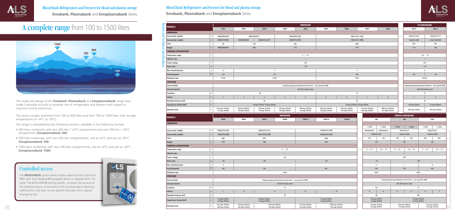### Controlled access

The **BIOGUARD®** system allows keyless opening with a personal RFID card. Each Bioguard®-equipped device is supplied with 3 ID cards. The BIOGUARD® locking system increases the security of the stored products. In the event of ID card damage or electronic malfunctions, the door can be opened manually with a special emergency key.

The study and design of the **Emobank**, **Plasmabank** and **Emoplasmabank** range have made it possible to build a complete line of refrigerators and freezers with regard to machine control electronics.

The series includes machines from 100 to 300 liters and from 700 to 1500 liters with storage temperatures of +4°C to -30°C.

The range is completed by the following versions, available in the following formats:

- 300 liters combined, with one 200-liter / +4°C compartment and one 100-liter / -20°C compartment (**Emoplasmabank 300**)
- 700 liters combined, with two 350-liter compartments, one at +4°C and one at -20°C (**Emoplasmabank 700**)
- 1500 liters combined, with two 700-liter compartments, one at +4°C and one at -20°C (**Emoplasmabank 1500**)







| $\mathbf{N}_\mathbf{O}$ |                                                                                                                                                                                                                                                                                                                                                                                                                                                                                                                                             | <b>EMOBANK</b> |                                       |                                                |                                                                     |                                      |                                                                     |                                                                     |                                       | <b>PLASMABANK</b>                                                              |             |                |                                                                                |                                                                     |  |
|-------------------------|---------------------------------------------------------------------------------------------------------------------------------------------------------------------------------------------------------------------------------------------------------------------------------------------------------------------------------------------------------------------------------------------------------------------------------------------------------------------------------------------------------------------------------------------|----------------|---------------------------------------|------------------------------------------------|---------------------------------------------------------------------|--------------------------------------|---------------------------------------------------------------------|---------------------------------------------------------------------|---------------------------------------|--------------------------------------------------------------------------------|-------------|----------------|--------------------------------------------------------------------------------|---------------------------------------------------------------------|--|
| $\overline{\bullet}$    | <b>MODELS</b>                                                                                                                                                                                                                                                                                                                                                                                                                                                                                                                               |                | 100/2                                 | 200/3                                          | 200/4                                                               | 300/5                                | 300/6                                                               | 700/5                                                               | 700/6<br>700/7<br>700/8               |                                                                                |             |                | 700 LT                                                                         | 900 LT                                                              |  |
|                         | <b>DIMENSIONS</b>                                                                                                                                                                                                                                                                                                                                                                                                                                                                                                                           |                |                                       |                                                |                                                                     |                                      |                                                                     |                                                                     |                                       |                                                                                |             |                |                                                                                |                                                                     |  |
| ¤ום                     | Internal dim. (LxDxH)<br>m <sub>0</sub>                                                                                                                                                                                                                                                                                                                                                                                                                                                                                                     |                | 480X500X450                           | 480x500x815                                    |                                                                     |                                      | 480x500x1385<br>590x 675x 1500                                      |                                                                     |                                       | 660x875x1510<br>590x675x1500                                                   |             |                |                                                                                |                                                                     |  |
|                         | <b>External dim. (LxDxH)</b><br>$\vert$ mm                                                                                                                                                                                                                                                                                                                                                                                                                                                                                                  |                | 600X615X850                           | 600x500x815                                    | 600x615x1425                                                        | 600x615x1995                         |                                                                     |                                                                     | 740x 815x 1998                        |                                                                                |             |                | 740x815x1998                                                                   | 810x1010x1998                                                       |  |
| $h$ nical               | Liters                                                                                                                                                                                                                                                                                                                                                                                                                                                                                                                                      |                | 95                                    | 176                                            |                                                                     | 303                                  |                                                                     |                                                                     | 600                                   |                                                                                |             |                | 600                                                                            | 870                                                                 |  |
|                         | Weight<br>Kg                                                                                                                                                                                                                                                                                                                                                                                                                                                                                                                                |                | 480X500X450                           | 100                                            |                                                                     | 115                                  |                                                                     |                                                                     | 170                                   |                                                                                |             |                | 170                                                                            | 180                                                                 |  |
| တ                       | <b>TECHNICAL SPECIFICATIONS</b>                                                                                                                                                                                                                                                                                                                                                                                                                                                                                                             |                |                                       |                                                |                                                                     |                                      |                                                                     |                                                                     |                                       |                                                                                |             |                |                                                                                |                                                                     |  |
|                         | $\mathcal{C}$<br><b>Temperature range</b>                                                                                                                                                                                                                                                                                                                                                                                                                                                                                                   |                |                                       |                                                |                                                                     |                                      | $0 \sim +15$                                                        |                                                                     |                                       |                                                                                |             |                | $-30 - 10$                                                                     |                                                                     |  |
|                         | <b>Climatic class</b>                                                                                                                                                                                                                                                                                                                                                                                                                                                                                                                       |                |                                       |                                                |                                                                     |                                      |                                                                     |                                                                     |                                       |                                                                                |             |                |                                                                                |                                                                     |  |
| ation:                  | Power voltage<br>$\mathsf{v}$                                                                                                                                                                                                                                                                                                                                                                                                                                                                                                               |                |                                       |                                                |                                                                     |                                      | 230                                                                 |                                                                     |                                       |                                                                                |             |                |                                                                                | 230                                                                 |  |
|                         | $\vert$ dB<br><b>Noise level</b>                                                                                                                                                                                                                                                                                                                                                                                                                                                                                                            |                |                                       |                                                |                                                                     |                                      | $<$ 50                                                              |                                                                     |                                       |                                                                                |             |                |                                                                                | < 55                                                                |  |
|                         | Max. absorbed power<br>$\overline{A}$                                                                                                                                                                                                                                                                                                                                                                                                                                                                                                       |                | 1,5                                   |                                                | $\overline{2}$                                                      |                                      |                                                                     |                                                                     | $\overline{4}$                        |                                                                                |             |                |                                                                                | 6                                                                   |  |
|                         | <b>Heat dissipation</b>                                                                                                                                                                                                                                                                                                                                                                                                                                                                                                                     |                | 170                                   |                                                |                                                                     | 215                                  |                                                                     |                                                                     | 180                                   |                                                                                |             |                | 345                                                                            | 370                                                                 |  |
|                         | Refrigerant gas                                                                                                                                                                                                                                                                                                                                                                                                                                                                                                                             |                | R 290                                 |                                                | R 290                                                               |                                      |                                                                     |                                                                     | R290                                  |                                                                                |             |                |                                                                                | R452A                                                               |  |
|                         | <b>STRUCTURE</b>                                                                                                                                                                                                                                                                                                                                                                                                                                                                                                                            |                |                                       |                                                |                                                                     |                                      |                                                                     |                                                                     |                                       |                                                                                |             |                |                                                                                |                                                                     |  |
|                         | External finish                                                                                                                                                                                                                                                                                                                                                                                                                                                                                                                             |                |                                       |                                                |                                                                     |                                      | Prepainted galvanized-plasticized steel sheet - color gray RAL 9006 |                                                                     |                                       |                                                                                |             |                |                                                                                | Prepainted galvanized-plasticized steel sheet - color gray RAL 9006 |  |
|                         | Internal material                                                                                                                                                                                                                                                                                                                                                                                                                                                                                                                           |                |                                       |                                                |                                                                     |                                      | AISI 304 Stainless Steel                                            |                                                                     |                                       |                                                                                |             |                |                                                                                | AISI 304 Stainless Steel                                            |  |
|                         | Insulation<br>m <sub>0</sub>                                                                                                                                                                                                                                                                                                                                                                                                                                                                                                                |                |                                       |                                                | 60                                                                  |                                      |                                                                     |                                                                     | 75                                    |                                                                                |             |                |                                                                                | 75                                                                  |  |
|                         | <b>Shelves</b><br>$\vert$ Nr.                                                                                                                                                                                                                                                                                                                                                                                                                                                                                                               |                | $\overline{2}$                        | $\overline{3}$                                 |                                                                     | 5                                    |                                                                     | 5                                                                   |                                       |                                                                                |             |                |                                                                                | $\overline{9}$                                                      |  |
|                         | Maximum load per shelf<br>Kg                                                                                                                                                                                                                                                                                                                                                                                                                                                                                                                |                |                                       |                                                | 30                                                                  |                                      |                                                                     |                                                                     | 40                                    |                                                                                |             |                |                                                                                | 40                                                                  |  |
|                         | $\mathsf{Nr}.$<br>Capacity per drawer/shelf                                                                                                                                                                                                                                                                                                                                                                                                                                                                                                 |                |                                       |                                                | 30 bags (250ml), 16 bags (450ml)                                    |                                      |                                                                     |                                                                     | 76 bags (250ml), 44 bags (450ml)      |                                                                                |             |                | 44 bags (450ml)                                                                | 55 bags (450ml)                                                     |  |
|                         | <b>Maximum load</b><br>N                                                                                                                                                                                                                                                                                                                                                                                                                                                                                                                    |                | 60 sacche (250ml),<br>32 bags (450ml) | 90 bags (250ml),<br>48 bags (450ml)            | 120 bags (250ml),<br>64 bags (450ml)                                | 150 bags (250ml),<br>80 bags (450ml) | 180 bags (250ml),<br>96 bags (450ml)                                | 380 bags (250ml),<br>220 bags (450ml)                               | 456 bags (250ml),<br>264 bags (450ml) | 532 bags (250ml),<br>608 bags (250ml),<br>308 bags (450ml)<br>352 bags (450ml) |             |                | 308 bags (450ml)                                                               | 495 bags (450ml)                                                    |  |
|                         |                                                                                                                                                                                                                                                                                                                                                                                                                                                                                                                                             |                |                                       |                                                |                                                                     | <b>EMOBANK</b>                       |                                                                     |                                                                     |                                       |                                                                                |             |                | <b>EMOPLASMABANK</b>                                                           |                                                                     |  |
|                         | <b>MODELS</b>                                                                                                                                                                                                                                                                                                                                                                                                                                                                                                                               |                | 700/B                                 | 900/8                                          | 900/9                                                               | 900/B                                | 1500/12                                                             | 1500/14                                                             | 1500/B                                | 300                                                                            |             |                | 700<br>1500                                                                    |                                                                     |  |
|                         | <b>DIMENSIONS</b>                                                                                                                                                                                                                                                                                                                                                                                                                                                                                                                           |                |                                       |                                                |                                                                     |                                      |                                                                     |                                                                     |                                       |                                                                                |             |                |                                                                                |                                                                     |  |
|                         |                                                                                                                                                                                                                                                                                                                                                                                                                                                                                                                                             |                |                                       |                                                |                                                                     | 2°VAIN<br>1°VAIN                     |                                                                     | 1°VAIN                                                              | 2°VAIN                                | 1°VAIN<br>2°VAIN                                                               |             |                |                                                                                |                                                                     |  |
|                         | Internal dim. (LxDxH)<br>mr                                                                                                                                                                                                                                                                                                                                                                                                                                                                                                                 |                | 590x675x1500                          |                                                | 660x875x1510                                                        |                                      |                                                                     | 1330x675x1500                                                       |                                       | 480x500x845                                                                    | 480x500x495 |                | 590x675x675                                                                    | 590x675x675                                                         |  |
|                         | <b>External dim. (LxDxH)</b><br>$\mathop{\rm mm}\nolimits$                                                                                                                                                                                                                                                                                                                                                                                                                                                                                  |                | 740x815x1998                          | 600x635x1995<br>810x1010x1998<br>1480x815x1998 |                                                                     |                                      |                                                                     | 740x815x1998<br>148x815x1998                                        |                                       |                                                                                |             |                |                                                                                |                                                                     |  |
|                         | Liters                                                                                                                                                                                                                                                                                                                                                                                                                                                                                                                                      |                | 600                                   |                                                | 870                                                                 |                                      |                                                                     | 1400                                                                |                                       | 184                                                                            | 108         | 300            | 300<br>600<br>600                                                              |                                                                     |  |
|                         | $\mathsf{Kg}\xspace$<br>Weight                                                                                                                                                                                                                                                                                                                                                                                                                                                                                                              |                | 170                                   |                                                | 180                                                                 |                                      |                                                                     | 230                                                                 |                                       | 120                                                                            |             |                | 180                                                                            | 230                                                                 |  |
|                         | <b>TECHNICAL SPECIFICATIONS</b>                                                                                                                                                                                                                                                                                                                                                                                                                                                                                                             |                |                                       |                                                |                                                                     |                                      |                                                                     |                                                                     |                                       |                                                                                |             |                |                                                                                |                                                                     |  |
|                         | $\infty$<br><b>Temperature range</b>                                                                                                                                                                                                                                                                                                                                                                                                                                                                                                        |                |                                       |                                                |                                                                     | $0 \sim +15$                         |                                                                     |                                                                     |                                       | $-23 - 10$<br>$0 - + 15$                                                       |             | $0 - + 15$     | $-23 \sim -10$                                                                 | $0 \sim +15$<br>$-23 \sim -10$                                      |  |
|                         | <b>Climatic class</b>                                                                                                                                                                                                                                                                                                                                                                                                                                                                                                                       |                |                                       |                                                |                                                                     |                                      |                                                                     |                                                                     |                                       |                                                                                |             |                |                                                                                |                                                                     |  |
|                         | <b>Power voltage</b><br>$\mathsf{v}$                                                                                                                                                                                                                                                                                                                                                                                                                                                                                                        |                |                                       |                                                |                                                                     | 230                                  |                                                                     |                                                                     |                                       |                                                                                |             |                | 230                                                                            |                                                                     |  |
|                         | $\mathsf{dB}$<br>Noise level                                                                                                                                                                                                                                                                                                                                                                                                                                                                                                                |                | $<$ 50                                |                                                | < 60                                                                |                                      |                                                                     | $<$ 50                                                              |                                       | < 50                                                                           |             |                | < 60                                                                           |                                                                     |  |
|                         | $\overline{A}$<br>Max. absorbed power                                                                                                                                                                                                                                                                                                                                                                                                                                                                                                       |                |                                       |                                                |                                                                     | - 5                                  |                                                                     |                                                                     |                                       |                                                                                |             |                | $7^{\circ}$                                                                    | 8                                                                   |  |
|                         | $\begin{array}{ c } \hline \text{ } \text{kcal} \text{ } \text{ } \text{ } \text{ } \text{k} \text{ } \text{ } \text{ } \text{ } \text{k} \text{ } \text{ } \text{ } \text{ } \text{k} \text{ } \text{ } \text{ } \text{ } \text{k} \text{ } \text{ } \text{ } \text{ } \text{k} \text{ } \text{ } \text{ } \text{ } \text{k} \text{ } \text{ } \text{ } \text{k} \text{ } \text{ } \text{ } \text{k} \text{ } \text{ } \text{ } \text{k} \text{ } \text{ } \text{k} \text{ } \text{ } \text{k} \text{ } \text{$<br><b>Heat dissipation</b> |                | 180                                   |                                                | 140                                                                 |                                      |                                                                     | 260<br>700                                                          |                                       |                                                                                | 370         | 430            |                                                                                |                                                                     |  |
|                         | <b>Refrigerant gas</b>                                                                                                                                                                                                                                                                                                                                                                                                                                                                                                                      |                |                                       |                                                |                                                                     | R290                                 |                                                                     | R290                                                                |                                       |                                                                                | R290        |                |                                                                                |                                                                     |  |
|                         | <b>STRUCTURE</b>                                                                                                                                                                                                                                                                                                                                                                                                                                                                                                                            |                |                                       |                                                |                                                                     |                                      |                                                                     |                                                                     |                                       |                                                                                |             |                |                                                                                |                                                                     |  |
|                         | <b>External finish</b>                                                                                                                                                                                                                                                                                                                                                                                                                                                                                                                      |                |                                       |                                                | Prepainted galvanized-plasticized steel sheet - color gray RAL 9006 |                                      |                                                                     | Prepainted galvanized-plasticized steel sheet - color gray RAL 9006 |                                       |                                                                                |             |                |                                                                                |                                                                     |  |
|                         | Internal material                                                                                                                                                                                                                                                                                                                                                                                                                                                                                                                           |                | AISI 304 Stainless Steel              |                                                |                                                                     |                                      | AISI 304 Stainless Steel                                            |                                                                     |                                       |                                                                                |             |                |                                                                                |                                                                     |  |
|                         | Insulation<br>mm                                                                                                                                                                                                                                                                                                                                                                                                                                                                                                                            |                |                                       |                                                |                                                                     | 75                                   | 60                                                                  |                                                                     |                                       | 75                                                                             |             |                |                                                                                |                                                                     |  |
|                         | <b>Shelves</b><br>Nr.                                                                                                                                                                                                                                                                                                                                                                                                                                                                                                                       |                |                                       | 8                                              | $\overline{9}$                                                      |                                      | 12                                                                  | 14                                                                  |                                       | $\overline{\mathbf{3}}$<br>$\overline{2}$                                      |             | $\overline{2}$ | $\overline{2}$                                                                 | 5 <sup>5</sup><br>$\overline{7}$                                    |  |
|                         | Maximum load per shelf<br>Kg                                                                                                                                                                                                                                                                                                                                                                                                                                                                                                                |                |                                       |                                                |                                                                     | 40                                   |                                                                     |                                                                     |                                       | 30                                                                             |             |                | 40                                                                             |                                                                     |  |
|                         | Capacity per drawer/shelf<br>Nr                                                                                                                                                                                                                                                                                                                                                                                                                                                                                                             |                | 76 bags (250ml),<br>44 bags (450ml)   |                                                | 90 bags (250ml),<br>55 bags (450ml)                                 |                                      |                                                                     | 76 bags (250ml),<br>44 bags (450ml)                                 |                                       | 30 bags (250ml),<br>16 bags (450ml)                                            |             |                | 76 bags (250ml),<br>44 basg (450ml)                                            |                                                                     |  |
|                         | <b>Maximum load</b>                                                                                                                                                                                                                                                                                                                                                                                                                                                                                                                         |                | 532 bags (250ml),<br>308 bags (450ml) | 720 bags (250ml),<br>440 bags (450ml)          | 810 bags (250ml),<br>495 bags (450ml)                               |                                      | 912 bags (250ml),<br>528 bags (450ml)                               | 1064 bags (250ml),<br>616 bags (450ml)                              |                                       | 150 bags (250ml),<br>80 bags (450ml)                                           |             |                | 304 bags (250ml),<br>912 bags (250ml),<br>528 bags (450ml)<br>176 bags (450ml) |                                                                     |  |

![](_page_5_Picture_0.jpeg)

Blood Bank Refrigerators and Freezers for blood and plasma storage **Emobank, Plasmabank** and **Emoplasmabank** Series

## A complete range from 100 to 1500 liters

### Blood Bank Refrigerators and Freezers for blood and plasma storage **Emobank, Plasmabank** and **Emoplasmabank** Series